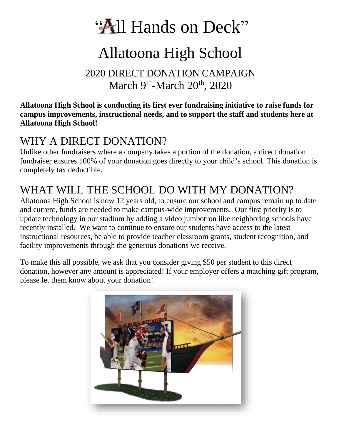# "All Hands on Deck"

# Allatoona High School

2020 DIRECT DONATION CAMPAIGN March 9<sup>th</sup>-March 20<sup>th</sup>, 2020

**Allatoona High School is conducting its first ever fundraising initiative to raise funds for campus improvements, instructional needs, and to support the staff and students here at Allatoona High School!**

## WHY A DIRECT DONATION?

Unlike other fundraisers where a company takes a portion of the donation, a direct donation fundraiser ensures 100% of your donation goes directly to your child's school. This donation is completely tax deductible.

## WHAT WILL THE SCHOOL DO WITH MY DONATION?

Allatoona High School is now 12 years old, to ensure our school and campus remain up to date and current, funds are needed to make campus-wide improvements. Our first priority is to update technology in our stadium by adding a video jumbotron like neighboring schools have recently installed. We want to continue to ensure our students have access to the latest instructional resources, be able to provide teacher classroom grants, student recognition, and facility improvements through the generous donations we receive.

To make this all possible, we ask that you consider giving \$50 per student to this direct donation, however any amount is appreciated! If your employer offers a matching gift program, please let them know about your donation!

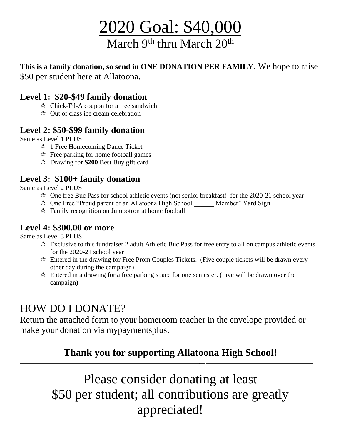# 2020 Goal: \$40,000

March 9<sup>th</sup> thru March 20<sup>th</sup>

**This is a family donation, so send in ONE DONATION PER FAMILY**. We hope to raise \$50 per student here at Allatoona.

#### **Level 1: \$20-\$49 family donation**

- $\triangle$  Chick-Fil-A coupon for a free sandwich
- $\mathcal{A}$  Out of class ice cream celebration

#### **Level 2: \$50-\$99 family donation**

Same as Level 1 PLUS

- $\approx$  1 Free Homecoming Dance Ticket
- $\mathcal{F}$  Free parking for home football games
- Drawing for **\$200** Best Buy gift card

#### **Level 3: \$100+ family donation**

Same as Level 2 PLUS

- $\approx$  One free Buc Pass for school athletic events (not senior breakfast) for the 2020-21 school year
- $\star$  One Free "Proud parent of an Allatoona High School Member" Yard Sign
- $\mathcal{F}$  Family recognition on Jumbotron at home football

#### **Level 4: \$300.00 or more**

Same as Level 3 PLUS

- $\mathcal{R}$  Exclusive to this fundraiser 2 adult Athletic Buc Pass for free entry to all on campus athletic events for the 2020-21 school year
- $\mathcal{R}$  Entered in the drawing for Free Prom Couples Tickets. (Five couple tickets will be drawn every other day during the campaign)
- $\mathcal{R}$  Entered in a drawing for a free parking space for one semester. (Five will be drawn over the campaign)

## HOW DO I DONATE?

Return the attached form to your homeroom teacher in the envelope provided or make your donation via mypaymentsplus.

### **Thank you for supporting Allatoona High School!**

\_\_\_\_\_\_\_\_\_\_\_\_\_\_\_\_\_\_\_\_\_\_\_\_\_\_\_\_\_\_\_\_\_\_\_\_\_\_\_\_\_\_\_\_\_\_\_\_\_\_\_\_\_\_\_\_\_\_\_\_\_\_\_\_\_\_\_\_\_\_\_\_\_\_\_\_\_\_\_\_\_\_\_\_\_\_\_\_\_\_\_\_\_\_\_\_\_\_\_\_\_\_\_\_\_\_\_\_\_\_\_\_\_\_\_\_\_\_\_\_\_\_\_\_\_\_\_\_\_\_\_\_\_\_\_\_\_\_\_\_\_\_

Please consider donating at least \$50 per student; all contributions are greatly appreciated!